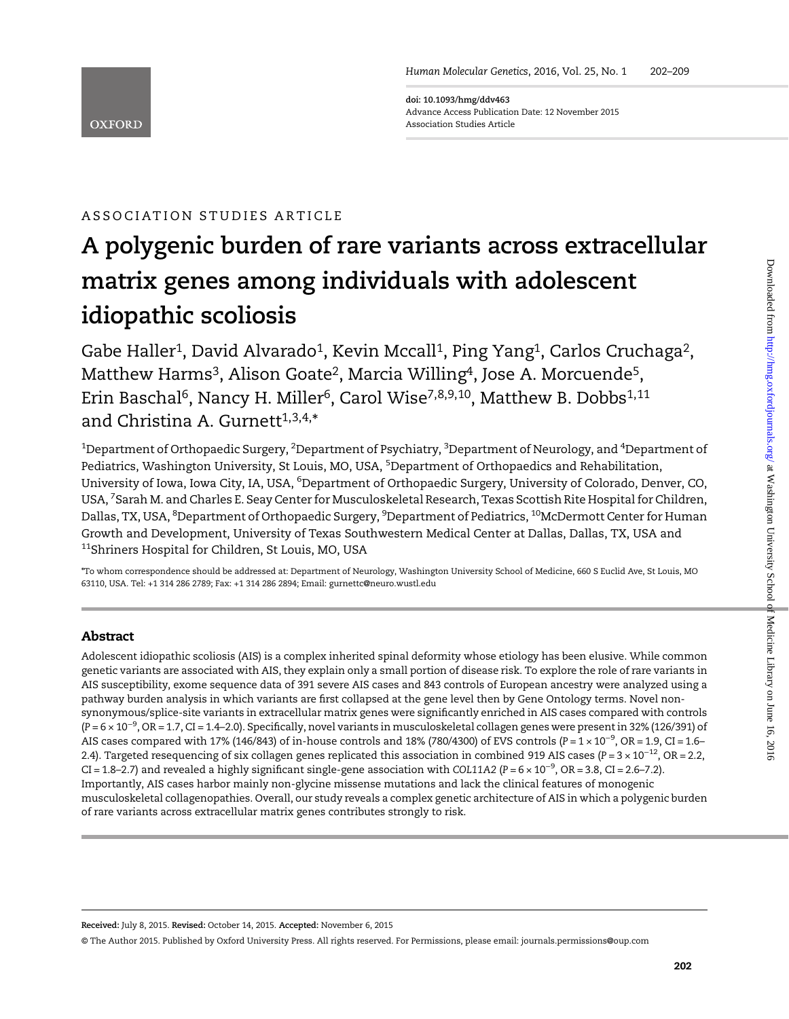doi: 10.1093/hmg/ddv463 Advance Access Publication Date: 12 November 2015 Association Studies Article

## ASSOCIATION STUDIES ARTICLE

# A polygenic burden of rare variants across extracellular matrix genes among individuals with adolescent idiopathic scoliosis

Gabe Haller<sup>1</sup>, David Alvarado<sup>1</sup>, Kevin Mccall<sup>1</sup>, Ping Yang<sup>1</sup>, Carlos Cruchaga<sup>2</sup>, Matthew Harms<sup>3</sup>, Alison Goate<sup>2</sup>, Marcia Willing<sup>4</sup>, Jose A. Morcuende<sup>5</sup>, Erin Baschal<sup>6</sup>, Nancy H. Miller<sup>6</sup>, Carol Wise<sup>7,8,9,10</sup>, Matthew B. Dobbs<sup>1,11</sup> and Christina A. Gurnett<sup>1,3,4,\*</sup>

 $^{\rm 1}$ Department of Orthopaedic Surgery,  $^{\rm 2}$ Department of Psychiatry,  $^{\rm 3}$ Department of Neurology, and  $^{\rm 4}$ Department of Pediatrics, Washington University, St Louis, MO, USA, <sup>5</sup>Department of Orthopaedics and Rehabilitation, University of Iowa, Iowa City, IA, USA, <sup>6</sup>Department of Orthopaedic Surgery, University of Colorado, Denver, CO, USA, <sup>7</sup>Sarah M. and Charles E. Seay Center for Musculoskeletal Research, Texas Scottish Rite Hospital for Children, Dallas, TX, USA, <sup>8</sup>Department of Orthopaedic Surgery, <sup>9</sup>Department of Pediatrics, <sup>10</sup>McDermott Center for Human Growth and Development, University of Texas Southwestern Medical Center at Dallas, Dallas, TX, USA and 11Shriners Hospital for Children, St Louis, MO, USA

\*To whom correspondence should be addressed at: Department of Neurology, Washington University School of Medicine, 660 S Euclid Ave, St Louis, MO 63110, USA. Tel: +1 314 286 2789; Fax: +1 314 286 2894; Email: gurnettc@neuro.wustl.edu

## Abstract

**OXFORD** 

Adolescent idiopathic scoliosis (AIS) is a complex inherited spinal deformity whose etiology has been elusive. While common genetic variants are associated with AIS, they explain only a small portion of disease risk. To explore the role of rare variants in AIS susceptibility, exome sequence data of 391 severe AIS cases and 843 controls of European ancestry were analyzed using a pathway burden analysis in which variants are first collapsed at the gene level then by Gene Ontology terms. Novel nonsynonymous/splice-site variants in extracellular matrix genes were significantly enriched in AIS cases compared with controls (P = 6 × 10<sup>-9</sup>, OR = 1.7, CI = 1.4–2.0). Specifically, novel variants in musculoskeletal collagen genes were present in 32% (126/391) of AIS cases compared with 17% (146/843) of in-house controls and 18% (780/4300) of EVS controls (P = 1 × 10<sup>-9</sup>, OR = 1.9, CI = 1.6-2.4). Targeted resequencing of six collagen genes replicated this association in combined 919 AIS cases (P =  $3 \times 10^{-12}$ , OR = 2.2, CI = 1.8–2.7) and revealed a highly significant single-gene association with COL11A2 (P = 6 × 10<sup>-9</sup>, OR = 3.8, CI = 2.6–7.2). Importantly, AIS cases harbor mainly non-glycine missense mutations and lack the clinical features of monogenic musculoskeletal collagenopathies. Overall, our study reveals a complex genetic architecture of AIS in which a polygenic burden of rare variants across extracellular matrix genes contributes strongly to risk.

Received: July 8, 2015. Revised: October 14, 2015. Accepted: November 6, 2015

© The Author 2015. Published by Oxford University Press. All rights reserved. For Permissions, please email: journals.permissions@oup.com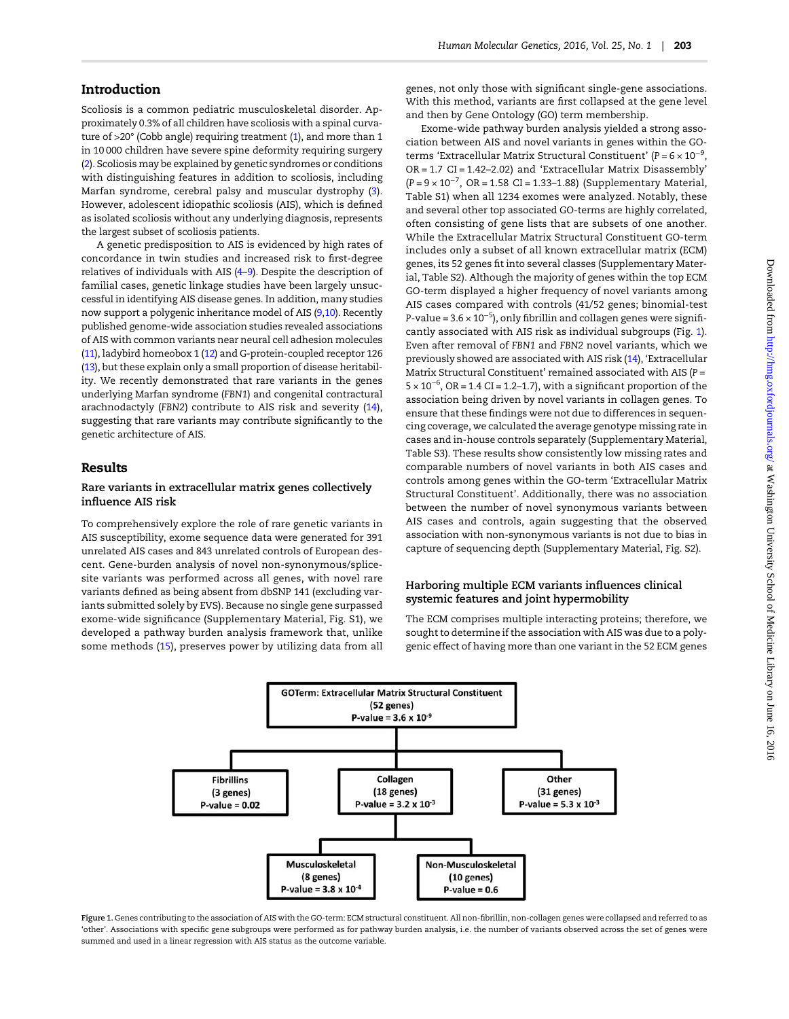## <span id="page-1-0"></span>Introduction

Scoliosis is a common pediatric musculoskeletal disorder. Approximately 0.3% of all children have scoliosis with a spinal curvature of >20° (Cobb angle) requiring treatment [\(1](#page-6-0)), and more than 1 in 10 000 children have severe spine deformity requiring surgery [\(2\)](#page-6-0). Scoliosis may be explained by genetic syndromes or conditions with distinguishing features in addition to scoliosis, including Marfan syndrome, cerebral palsy and muscular dystrophy ([3\)](#page-6-0). However, adolescent idiopathic scoliosis (AIS), which is defined as isolated scoliosis without any underlying diagnosis, represents the largest subset of scoliosis patients.

A genetic predisposition to AIS is evidenced by high rates of concordance in twin studies and increased risk to first-degree relatives of individuals with AIS [\(4](#page-6-0)–[9](#page-6-0)). Despite the description of familial cases, genetic linkage studies have been largely unsuccessful in identifying AIS disease genes. In addition, many studies now support a polygenic inheritance model of AIS [\(9,10](#page-6-0)). Recently published genome-wide association studies revealed associations of AIS with common variants near neural cell adhesion molecules [\(11\)](#page-6-0), ladybird homeobox 1 ([12\)](#page-7-0) and G-protein-coupled receptor 126 [\(13\)](#page-7-0), but these explain only a small proportion of disease heritability. We recently demonstrated that rare variants in the genes underlying Marfan syndrome (FBN1) and congenital contractural arachnodactyly (FBN2) contribute to AIS risk and severity [\(14\)](#page-7-0), suggesting that rare variants may contribute significantly to the genetic architecture of AIS.

#### Results

#### Rare variants in extracellular matrix genes collectively influence AIS risk

To comprehensively explore the role of rare genetic variants in AIS susceptibility, exome sequence data were generated for 391 unrelated AIS cases and 843 unrelated controls of European descent. Gene-burden analysis of novel non-synonymous/splicesite variants was performed across all genes, with novel rare variants defined as being absent from dbSNP 141 (excluding variants submitted solely by EVS). Because no single gene surpassed exome-wide significance ([Supplementary Material, Fig. S1\)](http://hmg.oxfordjournals.org/lookup/suppl/doi:10.1093/hmg/ddv463/-/DC1), we developed a pathway burden analysis framework that, unlike some methods ([15\)](#page-7-0), preserves power by utilizing data from all

genes, not only those with significant single-gene associations. With this method, variants are first collapsed at the gene level and then by Gene Ontology (GO) term membership.

Exome-wide pathway burden analysis yielded a strong association between AIS and novel variants in genes within the GOterms 'Extracellular Matrix Structural Constituent' (P =  $6 \times 10^{-9}$ , OR = 1.7 CI = 1.42–2.02) and 'Extracellular Matrix Disassembly' (P = 9 × 10−<sup>7</sup> , OR = 1.58 CI = 1.33–1.88) [\(Supplementary Material,](http://hmg.oxfordjournals.org/lookup/suppl/doi:10.1093/hmg/ddv463/-/DC1) [Table S1\)](http://hmg.oxfordjournals.org/lookup/suppl/doi:10.1093/hmg/ddv463/-/DC1) when all 1234 exomes were analyzed. Notably, these and several other top associated GO-terms are highly correlated, often consisting of gene lists that are subsets of one another. While the Extracellular Matrix Structural Constituent GO-term includes only a subset of all known extracellular matrix (ECM) genes, its 52 genes fit into several classes ([Supplementary Mater](http://hmg.oxfordjournals.org/lookup/suppl/doi:10.1093/hmg/ddv463/-/DC1)[ial, Table S2](http://hmg.oxfordjournals.org/lookup/suppl/doi:10.1093/hmg/ddv463/-/DC1)). Although the majority of genes within the top ECM GO-term displayed a higher frequency of novel variants among AIS cases compared with controls (41/52 genes; binomial-test P-value =  $3.6 \times 10^{-5}$ ), only fibrillin and collagen genes were significantly associated with AIS risk as individual subgroups (Fig. 1). Even after removal of FBN1 and FBN2 novel variants, which we previously showed are associated with AIS risk ([14](#page-7-0)), 'Extracellular Matrix Structural Constituent' remained associated with AIS (P =  $5 \times 10^{-6}$ , OR = 1.4 CI = 1.2–1.7), with a significant proportion of the association being driven by novel variants in collagen genes. To ensure that these findings were not due to differences in sequencing coverage, we calculated the average genotype missing rate in cases and in-house controls separately [\(Supplementary Material,](http://hmg.oxfordjournals.org/lookup/suppl/doi:10.1093/hmg/ddv463/-/DC1) [Table S3](http://hmg.oxfordjournals.org/lookup/suppl/doi:10.1093/hmg/ddv463/-/DC1)). These results show consistently low missing rates and comparable numbers of novel variants in both AIS cases and controls among genes within the GO-term 'Extracellular Matrix Structural Constituent'. Additionally, there was no association between the number of novel synonymous variants between AIS cases and controls, again suggesting that the observed association with non-synonymous variants is not due to bias in capture of sequencing depth [\(Supplementary Material, Fig. S2](http://hmg.oxfordjournals.org/lookup/suppl/doi:10.1093/hmg/ddv463/-/DC1)).

## Harboring multiple ECM variants influences clinical systemic features and joint hypermobility

The ECM comprises multiple interacting proteins; therefore, we sought to determine if the association with AIS was due to a polygenic effect of having more than one variant in the 52 ECM genes



Figure 1. Genes contributing to the association of AIS with the GO-term: ECM structural constituent. All non-fibrillin, non-collagen genes were collapsed and referred to as 'other'. Associations with specific gene subgroups were performed as for pathway burden analysis, i.e. the number of variants observed across the set of genes were summed and used in a linear regression with AIS status as the outcome variable.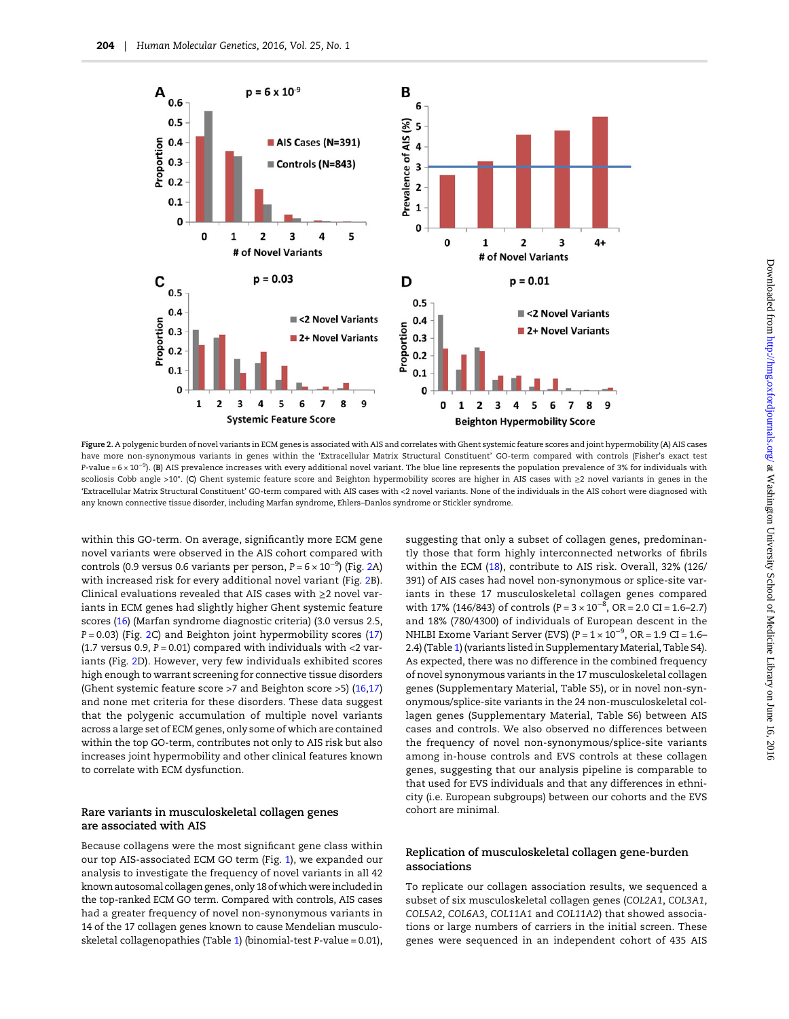

Figure 2. A polygenic burden of novel variants in ECM genes is associated with AIS and correlates with Ghent systemic feature scores and joint hypermobility (A) AIS cases have more non-synonymous variants in genes within the 'Extracellular Matrix Structural Constituent' GO-term compared with controls (Fisher's exact test P-value = 6 × 10−<sup>9</sup> ). (B) AIS prevalence increases with every additional novel variant. The blue line represents the population prevalence of 3% for individuals with scoliosis Cobb angle >10°. (C) Ghent systemic feature score and Beighton hypermobility scores are higher in AIS cases with ≥2 novel variants in genes in the 'Extracellular Matrix Structural Constituent' GO-term compared with AIS cases with <2 novel variants. None of the individuals in the AIS cohort were diagnosed with any known connective tissue disorder, including Marfan syndrome, Ehlers–Danlos syndrome or Stickler syndrome.

within this GO-term. On average, significantly more ECM gene novel variants were observed in the AIS cohort compared with controls (0.9 versus 0.6 variants per person, P =  $6 \times 10^{-9}$ ) (Fig. 2A) with increased risk for every additional novel variant (Fig. 2B). Clinical evaluations revealed that AIS cases with ≥2 novel variants in ECM genes had slightly higher Ghent systemic feature scores ([16\)](#page-7-0) (Marfan syndrome diagnostic criteria) (3.0 versus 2.5,  $P = 0.03$ ) (Fig. 2C) and Beighton joint hypermobility scores [\(17\)](#page-7-0) (1.7 versus 0.9,  $P = 0.01$ ) compared with individuals with  $<$ 2 variants (Fig. 2D). However, very few individuals exhibited scores high enough to warrant screening for connective tissue disorders (Ghent systemic feature score >7 and Beighton score >5) ([16,17\)](#page-7-0) and none met criteria for these disorders. These data suggest that the polygenic accumulation of multiple novel variants across a large set of ECM genes, only some of which are contained within the top GO-term, contributes not only to AIS risk but also increases joint hypermobility and other clinical features known to correlate with ECM dysfunction.

#### Rare variants in musculoskeletal collagen genes are associated with AIS

Because collagens were the most significant gene class within our top AIS-associated ECM GO term (Fig. [1\)](#page-1-0), we expanded our analysis to investigate the frequency of novel variants in all 42 known autosomal collagen genes, only 18 of which were included in the top-ranked ECM GO term. Compared with controls, AIS cases had a greater frequency of novel non-synonymous variants in 14 of the 17 collagen genes known to cause Mendelian musculoskeletal collagenopathies (Table [1\)](#page-3-0) (binomial-test P-value = 0.01), suggesting that only a subset of collagen genes, predominantly those that form highly interconnected networks of fibrils within the ECM ([18](#page-7-0)), contribute to AIS risk. Overall, 32% (126/ 391) of AIS cases had novel non-synonymous or splice-site variants in these 17 musculoskeletal collagen genes compared with 17% (146/843) of controls ( $P = 3 \times 10^{-8}$ , OR = 2.0 CI = 1.6–2.7) and 18% (780/4300) of individuals of European descent in the NHLBI Exome Variant Server (EVS) (P =  $1 \times 10^{-9}$ , OR = 1.9 CI = 1.6– 2.4) (Table [1\)](#page-3-0) (variants listed in [Supplementary Material, Table S4\)](http://hmg.oxfordjournals.org/lookup/suppl/doi:10.1093/hmg/ddv463/-/DC1). As expected, there was no difference in the combined frequency of novel synonymous variants in the 17 musculoskeletal collagen genes [\(Supplementary Material, Table S5\)](http://hmg.oxfordjournals.org/lookup/suppl/doi:10.1093/hmg/ddv463/-/DC1), or in novel non-synonymous/splice-site variants in the 24 non-musculoskeletal collagen genes [\(Supplementary Material, Table S6\)](http://hmg.oxfordjournals.org/lookup/suppl/doi:10.1093/hmg/ddv463/-/DC1) between AIS cases and controls. We also observed no differences between the frequency of novel non-synonymous/splice-site variants among in-house controls and EVS controls at these collagen genes, suggesting that our analysis pipeline is comparable to that used for EVS individuals and that any differences in ethnicity (i.e. European subgroups) between our cohorts and the EVS cohort are minimal.

#### Replication of musculoskeletal collagen gene-burden associations

To replicate our collagen association results, we sequenced a subset of six musculoskeletal collagen genes (COL2A1, COL3A1, COL5A2, COL6A3, COL11A1 and COL11A2) that showed associations or large numbers of carriers in the initial screen. These genes were sequenced in an independent cohort of 435 AIS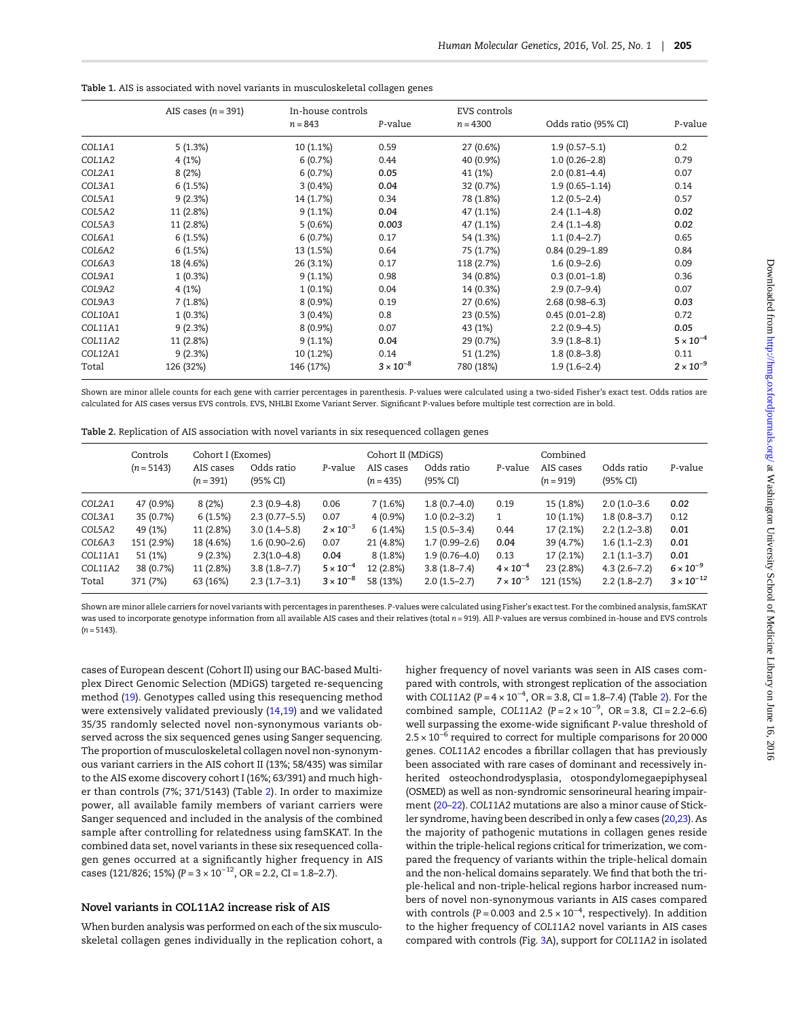<span id="page-3-0"></span>Table 1. AIS is associated with novel variants in musculoskeletal collagen genes

|         | AIS cases $(n = 391)$ | In-house controls<br>P-value<br>$n = 843$ |                    | EVS controls<br>$n = 4300$ | Odds ratio (95% CI) | P-value            |
|---------|-----------------------|-------------------------------------------|--------------------|----------------------------|---------------------|--------------------|
|         |                       |                                           |                    |                            |                     |                    |
| COL1A1  | 5(1.3%)               | 10 (1.1%)                                 | 0.59               | 27 (0.6%)                  | $1.9(0.57 - 5.1)$   | 0.2                |
| COL1A2  | 4(1%)                 | 6(0.7%)                                   | 0.44               | 40 (0.9%)                  | $1.0(0.26 - 2.8)$   | 0.79               |
| COL2A1  | 8(2%)                 | 6(0.7%)                                   | 0.05               | 41 (1%)                    | $2.0(0.81 - 4.4)$   | 0.07               |
| COL3A1  | 6(1.5%)               | $3(0.4\%)$                                | 0.04               | 32 (0.7%)                  | $1.9(0.65 - 1.14)$  | 0.14               |
| COL5A1  | 9(2.3%)               | 14 (1.7%)                                 | 0.34               | 78 (1.8%)                  | $1.2(0.5-2.4)$      | 0.57               |
| COL5A2  | 11 (2.8%)             | 9(1.1%)                                   | 0.04               | 47 (1.1%)                  | $2.4(1.1-4.8)$      | 0.02               |
| COL5A3  | 11 (2.8%)             | 5(0.6%)                                   | 0.003              | 47 (1.1%)                  | $2.4(1.1-4.8)$      | 0.02               |
| COL6A1  | 6(1.5%)               | 6(0.7%)                                   | 0.17               | 54 (1.3%)                  | $1.1(0.4-2.7)$      | 0.65               |
| COL6A2  | 6(1.5%)               | 13 (1.5%)                                 | 0.64               | 75 (1.7%)                  | $0.84(0.29 - 1.89)$ | 0.84               |
| COL6A3  | 18 (4.6%)             | 26 (3.1%)                                 | 0.17               | 118 (2.7%)                 | $1.6(0.9-2.6)$      | 0.09               |
| COL9A1  | 1(0.3%)               | $9(1.1\%)$                                | 0.98               | 34 (0.8%)                  | $0.3(0.01-1.8)$     | 0.36               |
| COL9A2  | 4(1%)                 | $1(0.1\%)$                                | 0.04               | 14 (0.3%)                  | $2.9(0.7-9.4)$      | 0.07               |
| COL9A3  | 7(1.8%)               | $8(0.9\%)$                                | 0.19               | 27 (0.6%)                  | $2.68(0.98 - 6.3)$  | 0.03               |
| COL10A1 | 1(0.3%)               | $3(0.4\%)$                                | 0.8                | 23 (0.5%)                  | $0.45(0.01 - 2.8)$  | 0.72               |
| COL11A1 | 9(2.3%)               | $8(0.9\%)$                                | 0.07               | 43 (1%)                    | $2.2(0.9-4.5)$      | 0.05               |
| COL11A2 | 11 (2.8%)             | 9(1.1%)                                   | 0.04               | 29 (0.7%)                  | $3.9(1.8 - 8.1)$    | $5 \times 10^{-4}$ |
| COL12A1 | 9(2.3%)               | 10 (1.2%)                                 | 0.14               | 51 (1.2%)                  | $1.8(0.8-3.8)$      | 0.11               |
| Total   | 126 (32%)             | 146 (17%)                                 | $3 \times 10^{-8}$ | 780 (18%)                  | $1.9(1.6-2.4)$      | $2 \times 10^{-9}$ |

Shown are minor allele counts for each gene with carrier percentages in parenthesis. P-values were calculated using a two-sided Fisher's exact test. Odds ratios are calculated for AIS cases versus EVS controls. EVS, NHLBI Exome Variant Server. Significant P-values before multiple test correction are in bold.

| Table 2. Replication of AIS association with novel variants in six resequenced collagen genes |  |  |  |  |  |
|-----------------------------------------------------------------------------------------------|--|--|--|--|--|
|-----------------------------------------------------------------------------------------------|--|--|--|--|--|

|                  | Controls              | Cohort I (Exomes)        |                                    |                                          | Cohort II (MDiGS)        |                                    |                                          | Combined                 |                                    |                                           |
|------------------|-----------------------|--------------------------|------------------------------------|------------------------------------------|--------------------------|------------------------------------|------------------------------------------|--------------------------|------------------------------------|-------------------------------------------|
|                  | $(n = 5143)$          | AIS cases<br>$(n = 391)$ | Odds ratio<br>(95% CI)             | P-value                                  | AIS cases<br>$(n = 435)$ | Odds ratio<br>(95% CI)             | P-value                                  | AIS cases<br>$(n = 919)$ | Odds ratio<br>(95% CI)             | P-value                                   |
| COL2A1           | 47 (0.9%)             | 8(2%)                    | $2.3(0.9-4.8)$                     | 0.06                                     | 7(1.6%)                  | $1.8(0.7-4.0)$                     | 0.19                                     | 15 (1.8%)                | $2.0(1.0-3.6)$                     | 0.02                                      |
| COL3A1           | 35 (0.7%)             | 6(1.5%)                  | $2.3(0.77 - 5.5)$                  | 0.07                                     | $4(0.9\%)$               | $1.0(0.2 - 3.2)$                   | 1                                        | 10 (1.1%)                | $1.8(0.8-3.7)$                     | 0.12                                      |
| COL5A2           | 49 (1%)               | 11 (2.8%)                | $3.0(1.4-5.8)$                     | $2 \times 10^{-3}$                       | 6(1.4%)                  | $1.5(0.5-3.4)$                     | 0.44                                     | 17(2.1%)                 | $2.2(1.2-3.8)$                     | 0.01                                      |
| COL6A3           | 151 (2.9%)            | 18 (4.6%)                | $1.6(0.90-2.6)$                    | 0.07                                     | 21 (4.8%)                | $1.7(0.99 - 2.6)$                  | 0.04                                     | 39 (4.7%)                | $1.6(1.1-2.3)$                     | 0.01                                      |
| COL11A1          | 51 (1%)               | 9(2.3%)                  | $2.3(1.0-4.8)$                     | 0.04                                     | $8(1.8\%)$               | $1.9(0.76 - 4.0)$                  | 0.13                                     | 17(2.1%)                 | $2.1(1.1-3.7)$                     | 0.01                                      |
| COL11A2<br>Total | 38 (0.7%)<br>371 (7%) | 11 (2.8%)<br>63 (16%)    | $3.8(1.8 - 7.7)$<br>$2.3(1.7-3.1)$ | $5 \times 10^{-4}$<br>$3 \times 10^{-8}$ | 12 (2.8%)<br>58 (13%)    | $3.8(1.8 - 7.4)$<br>$2.0(1.5-2.7)$ | $4 \times 10^{-4}$<br>$7 \times 10^{-5}$ | 23 (2.8%)<br>121 (15%)   | $4.3(2.6 - 7.2)$<br>$2.2(1.8-2.7)$ | $6 \times 10^{-9}$<br>$3 \times 10^{-12}$ |

Shown are minor allele carriers for novel variants with percentages in parentheses. P-values were calculated using Fisher's exact test. For the combined analysis, famSKAT was used to incorporate genotype information from all available AIS cases and their relatives (total n = 919). All P-values are versus combined in-house and EVS controls  $(n = 5143)$ .

cases of European descent (Cohort II) using our BAC-based Multiplex Direct Genomic Selection (MDiGS) targeted re-sequencing method ([19](#page-7-0)). Genotypes called using this resequencing method were extensively validated previously [\(14,19](#page-7-0)) and we validated 35/35 randomly selected novel non-synonymous variants observed across the six sequenced genes using Sanger sequencing. The proportion of musculoskeletal collagen novel non-synonymous variant carriers in the AIS cohort II (13%; 58/435) was similar to the AIS exome discovery cohort I (16%; 63/391) and much higher than controls (7%; 371/5143) (Table 2). In order to maximize power, all available family members of variant carriers were Sanger sequenced and included in the analysis of the combined sample after controlling for relatedness using famSKAT. In the combined data set, novel variants in these six resequenced collagen genes occurred at a significantly higher frequency in AIS cases (121/826; 15%) ( $P = 3 \times 10^{-12}$ , OR = 2.2, CI = 1.8–2.7).

#### Novel variants in COL11A2 increase risk of AIS

When burden analysis was performed on each of the six musculoskeletal collagen genes individually in the replication cohort, a higher frequency of novel variants was seen in AIS cases compared with controls, with strongest replication of the association with COL11A2 ( $P = 4 \times 10^{-4}$ , OR = 3.8, CI = 1.8–7.4) (Table 2). For the combined sample, COL11A2 ( $P = 2 \times 10^{-9}$ , OR = 3.8, CI = 2.2–6.6) well surpassing the exome-wide significant P-value threshold of 2.5 × 10<sup>-6</sup> required to correct for multiple comparisons for 20000 genes. COL11A2 encodes a fibrillar collagen that has previously been associated with rare cases of dominant and recessively inherited osteochondrodysplasia, otospondylomegaepiphyseal (OSMED) as well as non-syndromic sensorineural hearing impairment [\(20](#page-7-0)–[22\)](#page-7-0). COL11A2 mutations are also a minor cause of Stickler syndrome, having been described in only a few cases ([20,23](#page-7-0)). As the majority of pathogenic mutations in collagen genes reside within the triple-helical regions critical for trimerization, we compared the frequency of variants within the triple-helical domain and the non-helical domains separately. We find that both the triple-helical and non-triple-helical regions harbor increased numbers of novel non-synonymous variants in AIS cases compared with controls (P = 0.003 and  $2.5 \times 10^{-4}$ , respectively). In addition to the higher frequency of COL11A2 novel variants in AIS cases compared with controls (Fig. [3A](#page-4-0)), support for COL11A2 in isolated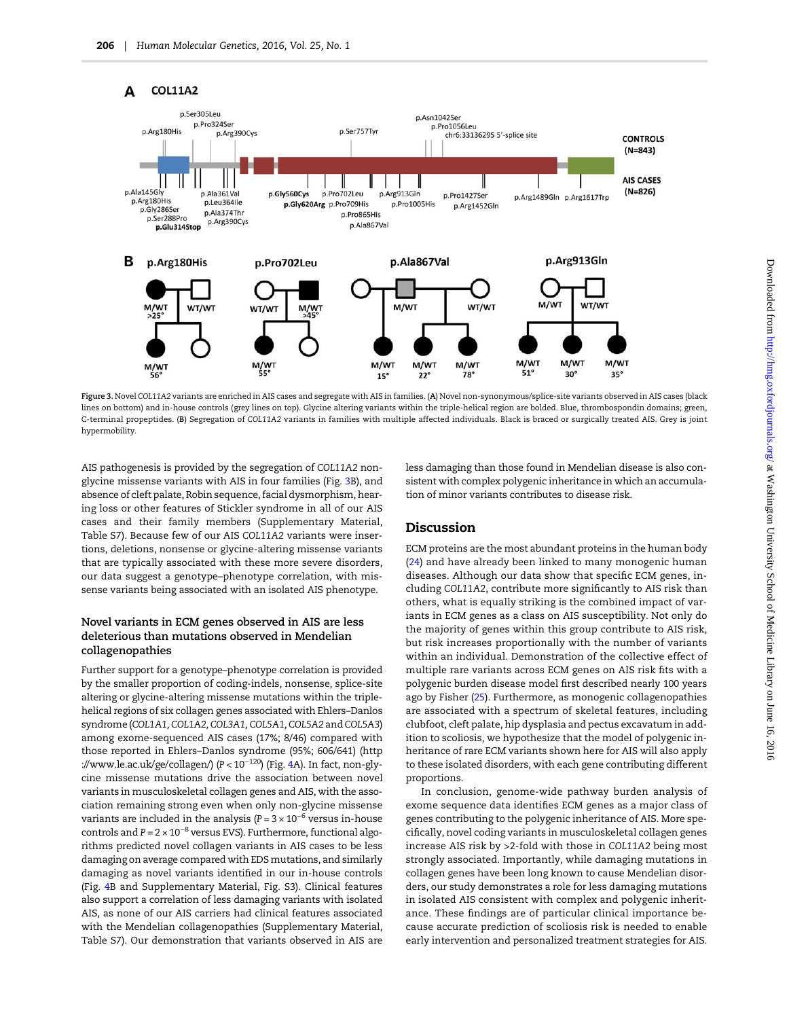<span id="page-4-0"></span>

Figure 3. Novel COL11A2 variants are enriched in AIS cases and segregate with AIS in families. (A) Novel non-synonymous/splice-site variants observed in AIS cases (black lines on bottom) and in-house controls (grey lines on top). Glycine altering variants within the triple-helical region are bolded. Blue, thrombospondin domains; green, C-terminal propeptides. (B) Segregation of COL11A2 variants in families with multiple affected individuals. Black is braced or surgically treated AIS. Grey is joint hypermobility.

AIS pathogenesis is provided by the segregation of COL11A2 nonglycine missense variants with AIS in four families (Fig. 3B), and absence of cleft palate, Robin sequence, facial dysmorphism, hearing loss or other features of Stickler syndrome in all of our AIS cases and their family members [\(Supplementary Material,](http://hmg.oxfordjournals.org/lookup/suppl/doi:10.1093/hmg/ddv463/-/DC1) [Table S7](http://hmg.oxfordjournals.org/lookup/suppl/doi:10.1093/hmg/ddv463/-/DC1)). Because few of our AIS COL11A2 variants were insertions, deletions, nonsense or glycine-altering missense variants that are typically associated with these more severe disorders, our data suggest a genotype–phenotype correlation, with missense variants being associated with an isolated AIS phenotype.

### Novel variants in ECM genes observed in AIS are less deleterious than mutations observed in Mendelian collagenopathies

Further support for a genotype–phenotype correlation is provided by the smaller proportion of coding-indels, nonsense, splice-site altering or glycine-altering missense mutations within the triplehelical regions of six collagen genes associated with Ehlers–Danlos syndrome (COL1A1, COL1A2, COL3A1, COL5A1, COL5A2 and COL5A3) among exome-sequenced AIS cases (17%; 8/46) compared with those reported in Ehlers–Danlos syndrome (95%; 606/641) ([http](http://www.le.ac.uk/ge/collagen/) [://www.le.ac.uk/ge/collagen/\)](http://www.le.ac.uk/ge/collagen/) (P < 10<sup>−</sup>120) (Fig. [4A](#page-5-0)). In fact, non-glycine missense mutations drive the association between novel variants in musculoskeletal collagen genes and AIS, with the association remaining strong even when only non-glycine missense variants are included in the analysis ( $P = 3 \times 10^{-6}$  versus in-house controls and  $P = 2 \times 10^{-8}$  versus EVS). Furthermore, functional algorithms predicted novel collagen variants in AIS cases to be less damaging on average compared with EDS mutations, and similarly damaging as novel variants identified in our in-house controls (Fig. [4](#page-5-0)B and [Supplementary Material, Fig. S3](http://hmg.oxfordjournals.org/lookup/suppl/doi:10.1093/hmg/ddv463/-/DC1)). Clinical features also support a correlation of less damaging variants with isolated AIS, as none of our AIS carriers had clinical features associated with the Mendelian collagenopathies ([Supplementary Material,](http://hmg.oxfordjournals.org/lookup/suppl/doi:10.1093/hmg/ddv463/-/DC1) [Table S7](http://hmg.oxfordjournals.org/lookup/suppl/doi:10.1093/hmg/ddv463/-/DC1)). Our demonstration that variants observed in AIS are less damaging than those found in Mendelian disease is also consistent with complex polygenic inheritance in which an accumulation of minor variants contributes to disease risk.

### Discussion

ECM proteins are the most abundant proteins in the human body ([24](#page-7-0)) and have already been linked to many monogenic human diseases. Although our data show that specific ECM genes, including COL11A2, contribute more significantly to AIS risk than others, what is equally striking is the combined impact of variants in ECM genes as a class on AIS susceptibility. Not only do the majority of genes within this group contribute to AIS risk, but risk increases proportionally with the number of variants within an individual. Demonstration of the collective effect of multiple rare variants across ECM genes on AIS risk fits with a polygenic burden disease model first described nearly 100 years ago by Fisher [\(25](#page-7-0)). Furthermore, as monogenic collagenopathies are associated with a spectrum of skeletal features, including clubfoot, cleft palate, hip dysplasia and pectus excavatum in addition to scoliosis, we hypothesize that the model of polygenic inheritance of rare ECM variants shown here for AIS will also apply to these isolated disorders, with each gene contributing different proportions.

In conclusion, genome-wide pathway burden analysis of exome sequence data identifies ECM genes as a major class of genes contributing to the polygenic inheritance of AIS. More specifically, novel coding variants in musculoskeletal collagen genes increase AIS risk by >2-fold with those in COL11A2 being most strongly associated. Importantly, while damaging mutations in collagen genes have been long known to cause Mendelian disorders, our study demonstrates a role for less damaging mutations in isolated AIS consistent with complex and polygenic inheritance. These findings are of particular clinical importance because accurate prediction of scoliosis risk is needed to enable early intervention and personalized treatment strategies for AIS.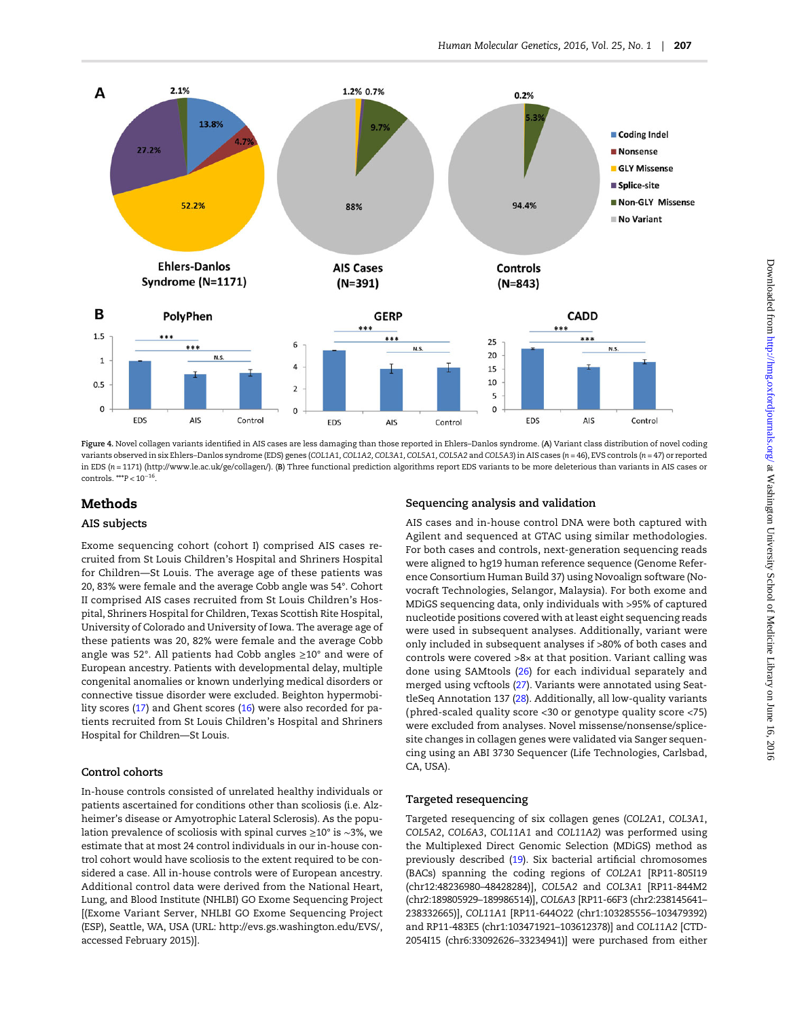<span id="page-5-0"></span>

Figure 4. Novel collagen variants identified in AIS cases are less damaging than those reported in Ehlers–Danlos syndrome. (A) Variant class distribution of novel coding variants observed in six Ehlers–Danlos syndrome (EDS) genes (COL1A1, COL1A2, COL3A1, COL5A1, COL5A2 and COL5A3) in AIS cases (n = 46), EVS controls (n = 47) or reported in EDS (n = 1171) ([http://www.le.ac.uk/ge/collagen/\)](http://www.le.ac.uk/ge/collagen/). (B) Three functional prediction algorithms report EDS variants to be more deleterious than variants in AIS cases or controls. \*\*\*P < 10<sup>−</sup>16.

## Methods

#### AIS subjects

Exome sequencing cohort (cohort I) comprised AIS cases recruited from St Louis Children's Hospital and Shriners Hospital for Children—St Louis. The average age of these patients was 20, 83% were female and the average Cobb angle was 54°. Cohort II comprised AIS cases recruited from St Louis Children's Hospital, Shriners Hospital for Children, Texas Scottish Rite Hospital, University of Colorado and University of Iowa. The average age of these patients was 20, 82% were female and the average Cobb angle was 52°. All patients had Cobb angles ≥10° and were of European ancestry. Patients with developmental delay, multiple congenital anomalies or known underlying medical disorders or connective tissue disorder were excluded. Beighton hypermobility scores [\(17](#page-7-0)) and Ghent scores [\(16\)](#page-7-0) were also recorded for patients recruited from St Louis Children's Hospital and Shriners Hospital for Children—St Louis.

### Control cohorts

In-house controls consisted of unrelated healthy individuals or patients ascertained for conditions other than scoliosis (i.e. Alzheimer's disease or Amyotrophic Lateral Sclerosis). As the population prevalence of scoliosis with spinal curves ≥10° is ∼3%, we estimate that at most 24 control individuals in our in-house control cohort would have scoliosis to the extent required to be considered a case. All in-house controls were of European ancestry. Additional control data were derived from the National Heart, Lung, and Blood Institute (NHLBI) GO Exome Sequencing Project [(Exome Variant Server, NHLBI GO Exome Sequencing Project (ESP), Seattle, WA, USA (URL:<http://evs.gs.washington.edu/EVS/>, accessed February 2015)].

#### Sequencing analysis and validation

AIS cases and in-house control DNA were both captured with Agilent and sequenced at GTAC using similar methodologies. For both cases and controls, next-generation sequencing reads were aligned to hg19 human reference sequence (Genome Reference Consortium Human Build 37) using Novoalign software (Novocraft Technologies, Selangor, Malaysia). For both exome and MDiGS sequencing data, only individuals with >95% of captured nucleotide positions covered with at least eight sequencing reads were used in subsequent analyses. Additionally, variant were only included in subsequent analyses if >80% of both cases and controls were covered >8× at that position. Variant calling was done using SAMtools [\(26\)](#page-7-0) for each individual separately and merged using vcftools ([27\)](#page-7-0). Variants were annotated using SeattleSeq Annotation 137 [\(28\)](#page-7-0). Additionally, all low-quality variants (phred-scaled quality score <30 or genotype quality score <75) were excluded from analyses. Novel missense/nonsense/splicesite changes in collagen genes were validated via Sanger sequencing using an ABI 3730 Sequencer (Life Technologies, Carlsbad, CA, USA).

#### Targeted resequencing

Targeted resequencing of six collagen genes (COL2A1, COL3A1, COL5A2, COL6A3, COL11A1 and COL11A2) was performed using the Multiplexed Direct Genomic Selection (MDiGS) method as previously described ([19](#page-7-0)). Six bacterial artificial chromosomes (BACs) spanning the coding regions of COL2A1 [RP11-805I19 (chr12:48236980–48428284)], COL5A2 and COL3A1 [RP11-844M2 (chr2:189805929–189986514)], COL6A3 [RP11-66F3 (chr2:238145641– 238332665)], COL11A1 [RP11-644O22 (chr1:103285556–103479392) and RP11-483E5 (chr1:103471921–103612378)] and COL11A2 [CTD-2054I15 (chr6:33092626–33234941)] were purchased from either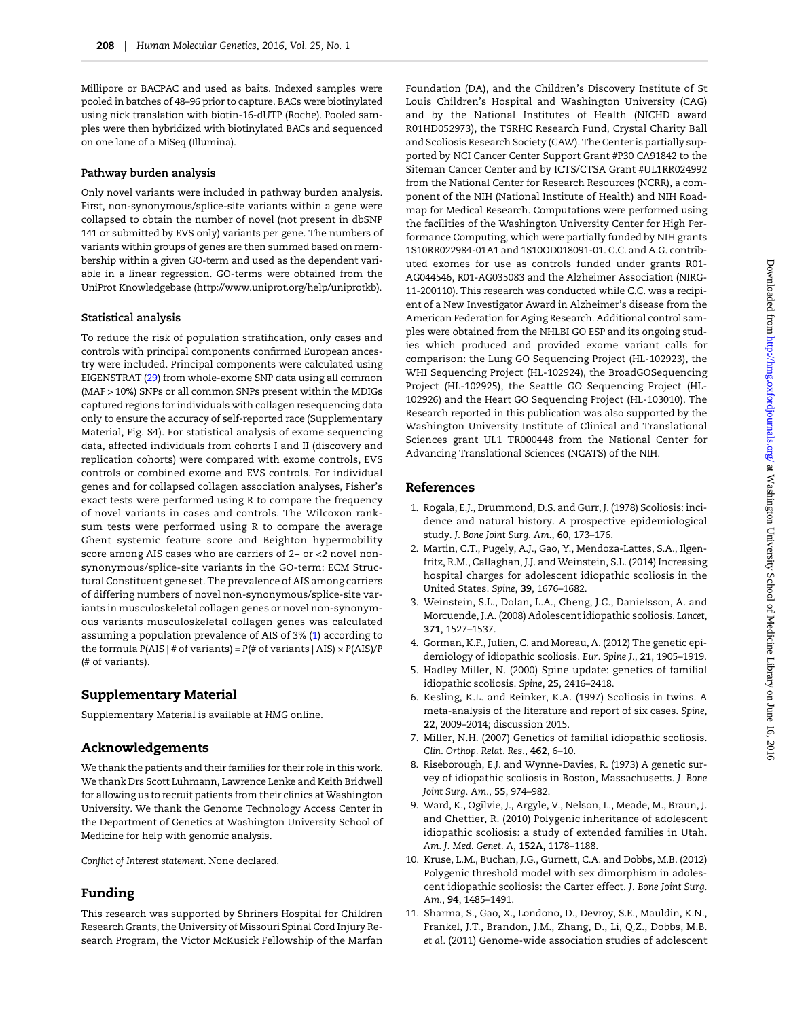<span id="page-6-0"></span>Millipore or BACPAC and used as baits. Indexed samples were pooled in batches of 48–96 prior to capture. BACs were biotinylated using nick translation with biotin-16-dUTP (Roche). Pooled samples were then hybridized with biotinylated BACs and sequenced on one lane of a MiSeq (Illumina).

#### Pathway burden analysis

Only novel variants were included in pathway burden analysis. First, non-synonymous/splice-site variants within a gene were collapsed to obtain the number of novel (not present in dbSNP 141 or submitted by EVS only) variants per gene. The numbers of variants within groups of genes are then summed based on membership within a given GO-term and used as the dependent variable in a linear regression. GO-terms were obtained from the UniProt Knowledgebase (<http://www.uniprot.org/help/uniprotkb>).

#### Statistical analysis

To reduce the risk of population stratification, only cases and controls with principal components confirmed European ancestry were included. Principal components were calculated using EIGENSTRAT [\(29](#page-7-0)) from whole-exome SNP data using all common (MAF > 10%) SNPs or all common SNPs present within the MDIGs captured regions for individuals with collagen resequencing data only to ensure the accuracy of self-reported race ([Supplementary](http://hmg.oxfordjournals.org/lookup/suppl/doi:10.1093/hmg/ddv463/-/DC1) [Material, Fig. S4](http://hmg.oxfordjournals.org/lookup/suppl/doi:10.1093/hmg/ddv463/-/DC1)). For statistical analysis of exome sequencing data, affected individuals from cohorts I and II (discovery and replication cohorts) were compared with exome controls, EVS controls or combined exome and EVS controls. For individual genes and for collapsed collagen association analyses, Fisher's exact tests were performed using R to compare the frequency of novel variants in cases and controls. The Wilcoxon ranksum tests were performed using R to compare the average Ghent systemic feature score and Beighton hypermobility score among AIS cases who are carriers of 2+ or <2 novel nonsynonymous/splice-site variants in the GO-term: ECM Structural Constituent gene set. The prevalence of AIS among carriers of differing numbers of novel non-synonymous/splice-site variants in musculoskeletal collagen genes or novel non-synonymous variants musculoskeletal collagen genes was calculated assuming a population prevalence of AIS of 3% (1) according to the formula  $P(ALS \mid # \text{ of variants}) = P(\text{\# of variants} \mid AIS) \times P(ALS)/P$ (# of variants).

## Supplementary Material

[Supplementary Material is available at](http://hmg.oxfordjournals.org/lookup/suppl/doi:10.1093/hmg/ddv463/-/DC1) HMG online.

## Acknowledgements

We thank the patients and their families for their role in this work. We thank Drs Scott Luhmann, Lawrence Lenke and Keith Bridwell for allowing us to recruit patients from their clinics at Washington University. We thank the Genome Technology Access Center in the Department of Genetics at Washington University School of Medicine for help with genomic analysis.

Conflict of Interest statement. None declared.

## Funding

This research was supported by Shriners Hospital for Children Research Grants, the University of Missouri Spinal Cord Injury Research Program, the Victor McKusick Fellowship of the Marfan Foundation (DA), and the Children's Discovery Institute of St Louis Children's Hospital and Washington University (CAG) and by the National Institutes of Health (NICHD award R01HD052973), the TSRHC Research Fund, Crystal Charity Ball and Scoliosis Research Society (CAW). The Center is partially supported by NCI Cancer Center Support Grant #P30 CA91842 to the Siteman Cancer Center and by ICTS/CTSA Grant #UL1RR024992 from the National Center for Research Resources (NCRR), a component of the NIH (National Institute of Health) and NIH Roadmap for Medical Research. Computations were performed using the facilities of the Washington University Center for High Performance Computing, which were partially funded by NIH grants 1S10RR022984-01A1 and 1S10OD018091-01. C.C. and A.G. contributed exomes for use as controls funded under grants R01- AG044546, R01-AG035083 and the Alzheimer Association (NIRG-11-200110). This research was conducted while C.C. was a recipient of a New Investigator Award in Alzheimer's disease from the American Federation for Aging Research. Additional control samples were obtained from the NHLBI GO ESP and its ongoing studies which produced and provided exome variant calls for comparison: the Lung GO Sequencing Project (HL-102923), the WHI Sequencing Project (HL-102924), the BroadGOSequencing Project (HL-102925), the Seattle GO Sequencing Project (HL-102926) and the Heart GO Sequencing Project (HL-103010). The Research reported in this publication was also supported by the Washington University Institute of Clinical and Translational Sciences grant UL1 TR000448 from the National Center for Advancing Translational Sciences (NCATS) of the NIH.

#### References

- 1. Rogala, E.J., Drummond, D.S. and Gurr, J. (1978) Scoliosis: incidence and natural history. A prospective epidemiological study. J. Bone Joint Surg. Am., 60, 173–176.
- 2. Martin, C.T., Pugely, A.J., Gao, Y., Mendoza-Lattes, S.A., Ilgenfritz, R.M., Callaghan, J.J. and Weinstein, S.L. (2014) Increasing hospital charges for adolescent idiopathic scoliosis in the United States. Spine, 39, 1676–1682.
- 3. Weinstein, S.L., Dolan, L.A., Cheng, J.C., Danielsson, A. and Morcuende, J.A. (2008) Adolescent idiopathic scoliosis. Lancet, 371, 1527–1537.
- 4. Gorman, K.F., Julien, C. and Moreau, A. (2012) The genetic epidemiology of idiopathic scoliosis. Eur. Spine J., 21, 1905–1919.
- 5. Hadley Miller, N. (2000) Spine update: genetics of familial idiopathic scoliosis. Spine, 25, 2416–2418.
- 6. Kesling, K.L. and Reinker, K.A. (1997) Scoliosis in twins. A meta-analysis of the literature and report of six cases. Spine, 22, 2009–2014; discussion 2015.
- 7. Miller, N.H. (2007) Genetics of familial idiopathic scoliosis. Clin. Orthop. Relat. Res., 462, 6–10.
- 8. Riseborough, E.J. and Wynne-Davies, R. (1973) A genetic survey of idiopathic scoliosis in Boston, Massachusetts. J. Bone Joint Surg. Am., 55, 974–982.
- 9. Ward, K., Ogilvie, J., Argyle, V., Nelson, L., Meade, M., Braun, J. and Chettier, R. (2010) Polygenic inheritance of adolescent idiopathic scoliosis: a study of extended families in Utah. Am. J. Med. Genet. A, 152A, 1178–1188.
- 10. Kruse, L.M., Buchan, J.G., Gurnett, C.A. and Dobbs, M.B. (2012) Polygenic threshold model with sex dimorphism in adolescent idiopathic scoliosis: the Carter effect. J. Bone Joint Surg. Am., 94, 1485–1491.
- 11. Sharma, S., Gao, X., Londono, D., Devroy, S.E., Mauldin, K.N., Frankel, J.T., Brandon, J.M., Zhang, D., Li, Q.Z., Dobbs, M.B. et al. (2011) Genome-wide association studies of adolescent